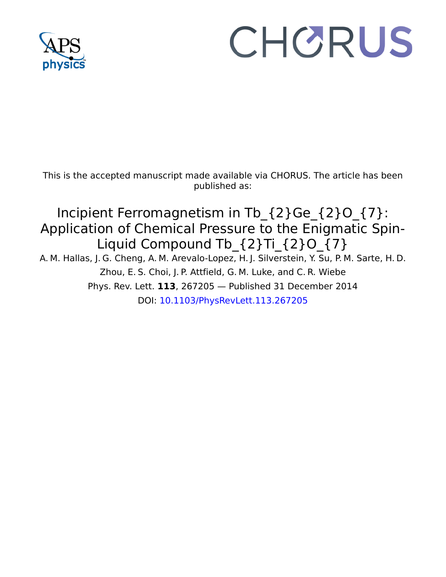

## CHORUS

This is the accepted manuscript made available via CHORUS. The article has been published as:

Incipient Ferromagnetism in Tb\_{2}Ge\_{2}O\_{7}: Application of Chemical Pressure to the Enigmatic Spin-Liquid Compound Tb  ${2}Ti{2}O{7}$ 

A. M. Hallas, J. G. Cheng, A. M. Arevalo-Lopez, H. J. Silverstein, Y. Su, P. M. Sarte, H. D. Zhou, E. S. Choi, J. P. Attfield, G. M. Luke, and C. R. Wiebe Phys. Rev. Lett. **113**, 267205 — Published 31 December 2014 DOI: [10.1103/PhysRevLett.113.267205](http://dx.doi.org/10.1103/PhysRevLett.113.267205)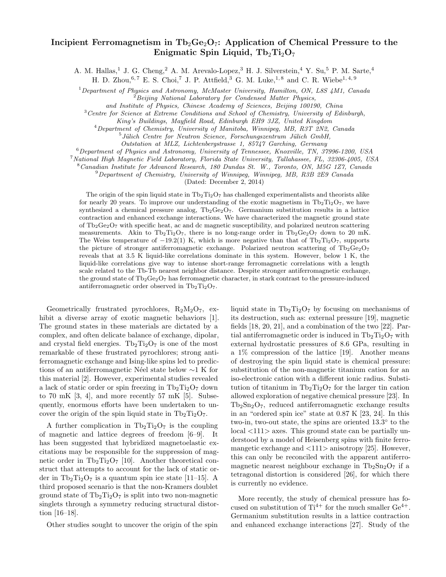## Incipient Ferromagnetism in  $Tb_2Ge_2O_7$ : Application of Chemical Pressure to the Enigmatic Spin Liquid,  $Tb_2Ti_2O_7$

A. M. Hallas,<sup>1</sup> J. G. Cheng,<sup>2</sup> A. M. Arevalo-Lopez,<sup>3</sup> H. J. Silverstein,<sup>4</sup> Y. Su,<sup>5</sup> P. M. Sarte,<sup>4</sup>

H. D. Zhou,  $6, 7$  E. S. Choi,  $7$  J. P. Attfield,  $3$  G. M. Luke,  $1, 8$  and C. R. Wiebe $1, 4, 9$ 

<sup>1</sup>Department of Physics and Astronomy, McMaster University, Hamilton, ON, L8S 4M1, Canada  ${}^{2}$ Beijing National Laboratory for Condensed Matter Physics,

<sup>3</sup> Centre for Science at Extreme Conditions and School of Chemistry, University of Edinburgh,

King's Buildings, Mayfield Road, Edinburgh EH9 3JZ, United Kingdom

<sup>4</sup>Department of Chemistry, University of Manitoba, Winnipeg, MB, R3T 2N2, Canada

<sup>5</sup> Jülich Centre for Neutron Science, Forschungszentrum Jülich GmbH,

Outstation at MLZ, Lichtenbergstrasse 1, 85747 Garching, Germany

 $6$ Department of Physics and Astronomy, University of Tennessee, Knoxville, TN, 37996-1200, USA

<sup>7</sup>National High Magnetic Field Laboratory, Florida State University, Tallahassee, FL, 32306-4005, USA

<sup>8</sup>Canadian Institute for Advanced Research, 180 Dundas St. W., Toronto, ON, M5G 1Z7, Canada

<sup>9</sup>Department of Chemistry, University of Winnipeg, Winnipeg, MB, R3B 2E9 Canada

(Dated: December 2, 2014)

The origin of the spin liquid state in  $Tb_2Ti_2O_7$  has challenged experimentalists and theorists alike for nearly 20 years. To improve our understanding of the exotic magnetism in  $Tb_2Ti_2O_7$ , we have synthesized a chemical pressure analog,  $Tb_2Ge_2O_7$ . Germanium substitution results in a lattice contraction and enhanced exchange interactions. We have characterized the magnetic ground state of  $Tb_2Ge_2O_7$  with specific heat, ac and dc magnetic susceptibility, and polarized neutron scattering measurements. Akin to Tb<sub>2</sub>Ti<sub>2</sub>O<sub>7</sub>, there is no long-range order in Tb<sub>2</sub>Ge<sub>2</sub>O<sub>7</sub> down to 20 mK. The Weiss temperature of  $-19.2(1)$  K, which is more negative than that of Tb<sub>2</sub>Ti<sub>2</sub>O<sub>7</sub>, supports the picture of stronger antiferromagnetic exchange. Polarized neutron scattering of  $Tb_2Ge_2O_7$ reveals that at 3.5 K liquid-like correlations dominate in this system. However, below 1 K, the liquid-like correlations give way to intense short-range ferromagnetic correlations with a length scale related to the Tb-Tb nearest neighbor distance. Despite stronger antiferromagnetic exchange, the ground state of  $Tb_2Ge_2O_7$  has ferromagnetic character, in stark contrast to the pressure-induced antiferromagnetic order observed in  $Tb_2Ti_2O_7$ .

Geometrically frustrated pyrochlores,  $R_2M_2O_7$ , exhibit a diverse array of exotic magnetic behaviors [1]. The ground states in these materials are dictated by a complex, and often delicate balance of exchange, dipolar, and crystal field energies.  $Tb_2Ti_2O_7$  is one of the most remarkable of these frustrated pyrochlores; strong antiferromagnetic exchange and Ising-like spins led to predictions of an antiferromagnetic Néel state below ∼1 K for this material [2]. However, experimental studies revealed a lack of static order or spin freezing in  $Tb_2Ti_2O_7$  down to 70 mK  $[3, 4]$ , and more recently 57 mK  $[5]$ . Subsequently, enormous efforts have been undertaken to uncover the origin of the spin liquid state in  $Tb_2Ti_2O_7$ .

A further complication in  $Tb_2Ti_2O_7$  is the coupling of magnetic and lattice degrees of freedom [6–9]. It has been suggested that hybridized magnetoelastic excitations may be responsible for the suppression of magnetic order in  $Tb_2Ti_2O_7$  [10]. Another theoretical construct that attempts to account for the lack of static order in  $Tb_2Ti_2O_7$  is a quantum spin ice state [11–15]. A third proposed scenario is that the non-Kramers doublet ground state of  $Tb_2Ti_2O_7$  is split into two non-magnetic singlets through a symmetry reducing structural distortion [16–18].

Other studies sought to uncover the origin of the spin

liquid state in  $Tb_2Ti_2O_7$  by focusing on mechanisms of its destruction, such as: external pressure [19], magnetic fields [18, 20, 21], and a combination of the two [22]. Partial antiferromagnetic order is induced in  $Tb_2Ti_2O_7$  with external hydrostatic pressures of 8.6 GPa, resulting in a 1% compression of the lattice [19]. Another means of destroying the spin liquid state is chemical pressure: substitution of the non-magnetic titanium cation for an iso-electronic cation with a different ionic radius. Substitution of titanium in  $Tb_2Ti_2O_7$  for the larger tin cation allowed exploration of negative chemical pressure [23]. In  $Tb_2Sn_2O_7$ , reduced antiferromagnetic exchange results in an "ordered spin ice" state at 0.87 K [23, 24]. In this two-in, two-out state, the spins are oriented 13.3◦ to the local <111> axes. This ground state can be partially understood by a model of Heisenberg spins with finite ferromangetic exchange and  $\langle 111 \rangle$  anisotropy [25]. However, this can only be reconciled with the apparent antiferromagnetic nearest neighbour exchange in  $Tb_2Sn_2O_7$  if a tetragonal distortion is considered [26], for which there is currently no evidence.

More recently, the study of chemical pressure has focused on substitution of  $Ti^{4+}$  for the much smaller  $Ge^{4+}$ . Germanium substitution results in a lattice contraction and enhanced exchange interactions [27]. Study of the

and Institute of Physics, Chinese Academy of Sciences, Beijing 100190, China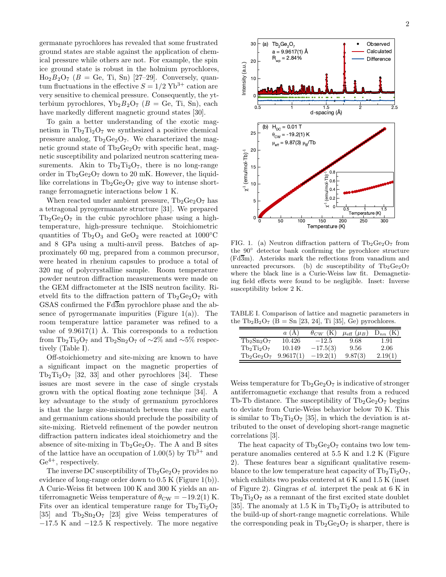germanate pyrochlores has revealed that some frustrated ground states are stable against the application of chemical pressure while others are not. For example, the spin ice ground state is robust in the holmium pyrochlores,  $\text{Ho}_2B_2\text{O}_7$  ( $B = \text{Ge}$ , Ti, Sn) [27–29]. Conversely, quantum fluctuations in the effective  $S = 1/2 \text{ Yb}^{3+}$  cation are very sensitive to chemical pressure. Consequently, the ytterbium pyrochlores,  $Yb_2B_2O_7$  ( $B = \text{Ge}, \text{Ti}, \text{Sn}$ ), each have markedly different magnetic ground states [30].

To gain a better understanding of the exotic magnetism in  $Tb_2Ti_2O_7$  we synthesized a positive chemical pressure analog,  $Tb_2Ge_2O_7$ . We characterized the magnetic ground state of  $Tb_2Ge_2O_7$  with specific heat, magnetic susceptibility and polarized neutron scattering measurements. Akin to  $Tb_2Ti_2O_7$ , there is no long-range order in  $Tb_2Ge_2O_7$  down to 20 mK. However, the liquidlike correlations in  $Tb_2Ge_2O_7$  give way to intense shortrange ferromagnetic interactions below 1 K.

When reacted under ambient pressure,  $Tb_2Ge_2O_7$  has a tetragonal pyrogermanate structure [31]. We prepared  $Tb_2Ge_2O_7$  in the cubic pyrochlore phase using a hightemperature, high-pressure technique. Stoichiometric quantities of Tb<sub>2</sub>O<sub>3</sub> and GeO<sub>2</sub> were reacted at 1000 $\degree$ C and 8 GPa using a multi-anvil press. Batches of approximately 60 mg, prepared from a common precursor, were heated in rhenium capsules to produce a total of 320 mg of polycrystalline sample. Room temperature powder neutron diffraction measurements were made on the GEM diffractometer at the ISIS neutron facility. Rietveld fits to the diffraction pattern of  $Tb_2Ge_2O_7$  with GSAS confirmed the  $Fd\overline{3}m$  pyrochlore phase and the absence of pyrogermanate impurities (Figure  $1(a)$ ). The room temperature lattice parameter was refined to a value of  $9.9617(1)$  Å. This corresponds to a reduction from Tb<sub>2</sub>Ti<sub>2</sub>O<sub>7</sub> and Tb<sub>2</sub>Sn<sub>2</sub>O<sub>7</sub> of ∼2% and ∼5% respectively (Table I).

Off-stoichiometry and site-mixing are known to have a significant impact on the magnetic properties of  $Tb_2Ti_2O_7$  [32, 33] and other pyrochlores [34]. These issues are most severe in the case of single crystals grown with the optical floating zone technique [34]. A key advantage to the study of germanium pyrochlores is that the large size-mismatch between the rare earth and germanium cations should preclude the possibility of site-mixing. Rietveld refinement of the powder neutron diffraction pattern indicates ideal stoichiometry and the absence of site-mixing in  $Tb_2Ge_2O_7$ . The A and B sites of the lattice have an occupation of 1.00(5) by  $\text{Th}^{3+}$  and  $Ge^{4+}$ , respectively.

The inverse DC susceptibility of  $Tb_2Ge_2O_7$  provides no evidence of long-range order down to 0.5 K (Figure 1(b)). A Curie-Weiss fit between 100 K and 300 K yields an antiferromagnetic Weiss temperature of  $\theta_{\rm CW} = -19.2(1)$  K. Fits over an identical temperature range for  $Tb_2Ti_2O_7$ [35] and  $Tb_2Sn_2O_7$  [23] give Weiss temperatures of  $-17.5$  K and  $-12.5$  K respectively. The more negative



FIG. 1. (a) Neutron diffraction pattern of  $Tb_2Ge_2O_7$  from the 90◦ detector bank confirming the pyrochlore structure  $(Fd\overline{3}m)$ . Asterisks mark the reflections from vanadium and unreacted precursors. (b) dc susceptibility of  $Tb_2Ge_2O_7$ where the black line is a Curie-Weiss law fit. Demagnetizing field effects were found to be negligible. Inset: Inverse susceptibility below 2 K.

TABLE I. Comparison of lattice and magnetic parameters in the  $Tb_2B_2O_7$  (B = Sn [23, 24], Ti [35], Ge) pyrochlores.

|               | $\it a$   | (K)<br>$\theta_{CW}$ | $\mu_{\rm eff}$ ( $\mu_B$ ) | $D_{nn}$ |
|---------------|-----------|----------------------|-----------------------------|----------|
| $Tb_2Sn_2O_7$ | 10.426    | $-12.5$              | 9.68                        | 1.91     |
| $Tb_2Ti_2O_7$ | 10.149    | $-17.5(3)$           | 9.56                        | 2.06     |
| $Tb_2Ge_2O_7$ | 9.9617(1) | $-19.2(1)$           | 9.87(3)                     | 2.19(1)  |

Weiss temperature for  $Tb_2Ge_2O_7$  is indicative of stronger antiferromagnetic exchange that results from a reduced Tb-Tb distance. The susceptibility of  $Tb_2Ge_2O_7$  begins to deviate from Curie-Weiss behavior below 70 K. This is similar to  $Tb_2Ti_2O_7$  [35], in which the deviation is attributed to the onset of developing short-range magnetic correlations [3].

The heat capacity of  $Tb_2Ge_2O_7$  contains two low temperature anomalies centered at 5.5 K and 1.2 K (Figure 2). These features bear a significant qualitative resemblance to the low temperature heat capacity of  $Tb_2Ti_2O_7$ , which exhibits two peaks centered at 6 K and 1.5 K (inset of Figure 2). Gingras et al. interpret the peak at 6 K in  $Tb_2Ti_2O_7$  as a remnant of the first excited state doublet [35]. The anomaly at 1.5 K in  $Tb_2Ti_2O_7$  is attributed to the build-up of short-range magnetic correlations. While the corresponding peak in  $Tb_2Ge_2O_7$  is sharper, there is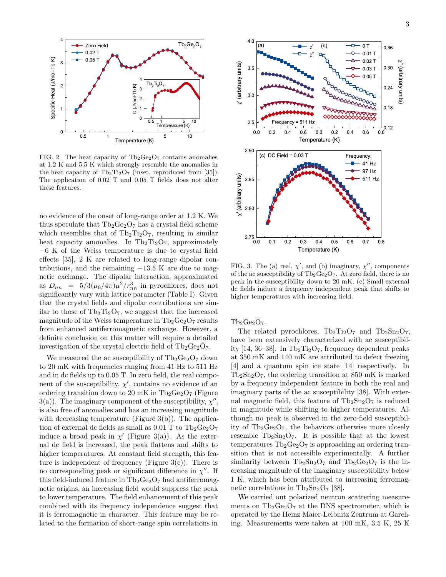

FIG. 2. The heat capacity of  $Tb_2Ge_2O_7$  contains anomalies at 1.2 K and 5.5 K which strongly resemble the anomalies in the heat capacity of  $Tb_2Ti_2O_7$  (inset, reproduced from [35]). The application of 0.02 T and 0.05 T fields does not alter these features.

no evidence of the onset of long-range order at 1.2 K. We thus speculate that  $Tb_2Ge_2O_7$  has a crystal field scheme which resembles that of  $Tb_2Ti_2O_7$ , resulting in similar heat capacity anomalies. In  $Tb_2Ti_2O_7$ , approximately −6 K of the Weiss temperature is due to crystal field effects [35], 2 K are related to long-range dipolar contributions, and the remaining  $-13.5$  K are due to magnetic exchange. The dipolar interaction, approximated as  $D_{nn}$  =  $5/3(\mu_0/4\pi)\mu^2/r_{nn}^3$  in pyrochlores, does not significantly vary with lattice parameter (Table I). Given that the crystal fields and dipolar contributions are similar to those of  $Tb_2Ti_2O_7$ , we suggest that the increased magnitude of the Weiss temperature in  $Tb_2Ge_2O_7$  results from enhanced antiferromagnetic exchange. However, a definite conclusion on this matter will require a detailed investigation of the crystal electric field of  $Tb_2Ge_2O_7$ .

We measured the ac susceptibility of  $Tb_2Ge_2O_7$  down to 20 mK with frequencies ranging from 41 Hz to 511 Hz and in dc fields up to 0.05 T. In zero field, the real component of the susceptibility,  $\chi'$ , contains no evidence of an ordering transition down to 20 mK in  $Tb_2Ge_2O_7$  (Figure 3(a)). The imaginary component of the susceptibility,  $\chi''$ , is also free of anomalies and has an increasing magnitude with decreasing temperature (Figure 3(b)). The application of external dc fields as small as  $0.01$  T to  $Tb_2Ge_2O_7$ induce a broad peak in  $\chi'$  (Figure 3(a)). As the external dc field is increased, the peak flattens and shifts to higher temperatures. At constant field strength, this feature is independent of frequency (Figure  $3(c)$ ). There is no corresponding peak or significant difference in  $\chi''$ . If this field-induced feature in  $Tb_2Ge_2O_7$  had antiferromagnetic origins, an increasing field would suppress the peak to lower temperature. The field enhancement of this peak combined with its frequency independence suggest that it is ferromagnetic in character. This feature may be related to the formation of short-range spin correlations in



FIG. 3. The (a) real,  $\chi'$ , and (b) imaginary,  $\chi''$ , components of the ac susceptibility of  $Tb_2Ge_2O_7$ . At zero field, there is no peak in the susceptibility down to 20 mK. (c) Small external dc fields induce a frequency independent peak that shifts to higher temperatures with increasing field.

 $Tb_2Ge_2O_7.$ 

The related pyrochlores,  $Tb_2Ti_2O_7$  and  $Tb_2Sn_2O_7$ , have been extensively characterized with ac susceptibility [14, 36–38]. In  $\text{Th}_2\text{Ti}_2\text{O}_7$ , frequency dependent peaks at 350 mK and 140 mK are attributed to defect freezing [4] and a quantum spin ice state [14] respectively. In  $Tb_2Sn_2O_7$ , the ordering transition at 850 mK is marked by a frequency independent feature in both the real and imaginary parts of the ac susceptibility [38]. With external magnetic field, this feature of  $Tb_2Sn_2O_7$  is reduced in magnitude while shifting to higher temperatures. Although no peak is observed in the zero-field susceptibility of  $Tb_2Ge_2O_7$ , the behaviors otherwise more closely resemble  $Tb_2Sn_2O_7$ . It is possible that at the lowest temperatures  $Tb_2Ge_2O_7$  is approaching an ordering transition that is not accessible experimentally. A further similarity between  $Tb_2Sn_2O_7$  and  $Tb_2Ge_2O_7$  is the increasing magnitude of the imaginary susceptibility below 1 K, which has been attributed to increasing ferromagnetic correlations in  $Tb_2Sn_2O_7$  [38].

We carried out polarized neutron scattering measurements on  $Tb_2Ge_2O_7$  at the DNS spectrometer, which is operated by the Heinz Maier-Leibnitz Zentrum at Garching. Measurements were taken at 100 mK, 3.5 K, 25 K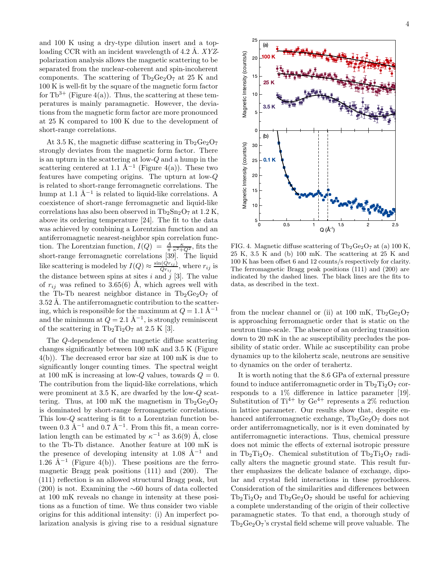and 100 K using a dry-type dilution insert and a toploading CCR with an incident wavelength of 4.2 Å.  $XYZ$ polarization analysis allows the magnetic scattering to be separated from the nuclear-coherent and spin-incoherent components. The scattering of  $Tb_2Ge_2O_7$  at 25 K and 100 K is well-fit by the square of the magnetic form factor for  $Tb^{3+}$  (Figure 4(a)). Thus, the scattering at these temperatures is mainly paramagnetic. However, the deviations from the magnetic form factor are more pronounced at 25 K compared to 100 K due to the development of short-range correlations.

At 3.5 K, the magnetic diffuse scattering in  $Tb_2Ge_2O_7$ strongly deviates from the magnetic form factor. There is an upturn in the scattering at low-Q and a hump in the scattering centered at 1.1  $\AA^{-1}$  (Figure 4(a)). These two features have competing origins. The upturn at low-Q is related to short-range ferromagnetic correlations. The hump at 1.1  $\AA^{-1}$  is related to liquid-like correlations. A coexistence of short-range ferromagnetic and liquid-like correlations has also been observed in  $Tb_2Sn_2O_7$  at 1.2 K, above its ordering temperature [24]. The fit to the data was achieved by combining a Lorentzian function and an antiferromagnetic nearest-neighbor spin correlation function. The Lorentzian function,  $I(Q) = \frac{A}{\pi} \frac{\kappa}{\kappa^2 + Q^2}$ , fits the short-range ferromagnetic correlations [39]. The liquid like scattering is modeled by  $I(Q) \approx \frac{\sin(Qr_{ij})}{Qr_{ij}}$  $\frac{\Gamma\left( Qr_{ij}\right) }{Qr_{ij}},$  where  $r_{ij}$  is the distance between spins at sites i and j [3]. The value of  $r_{ij}$  was refined to 3.65(6) Å, which agrees well with the Tb-Tb nearest neighbor distance in  $Tb_2Ge_2O_7$  of 3.52 Å. The antiferromagnetic contribution to the scattering, which is responsible for the maximum at  $Q = 1.1 \text{ Å}^{-1}$ and the minimum at  $Q = 2.1 \text{ Å}^{-1}$ , is strongly reminiscent of the scattering in  $Tb_2Ti_2O_7$  at 2.5 K [3].

The Q-dependence of the magnetic diffuse scattering changes significantly between 100 mK and 3.5 K (Figure 4(b)). The decreased error bar size at 100 mK is due to significantly longer counting times. The spectral weight at 100 mK is increasing at low-Q values, towards  $Q = 0$ . The contribution from the liquid-like correlations, which were prominent at 3.5 K, are dwarfed by the low-Q scattering. Thus, at 100 mK the magnetism in  $Tb_2Ge_2O_7$ is dominated by short-range ferromagnetic correlations. This low-Q scattering is fit to a Lorentzian function between 0.3 Å<sup>-1</sup> and 0.7 Å<sup>-1</sup>. From this fit, a mean correlation length can be estimated by  $\kappa^{-1}$  as 3.6(9) Å, close to the Tb-Tb distance. Another feature at 100 mK is the presence of developing intensity at 1.08  $\AA^{-1}$  and  $1.26$  Å<sup>-1</sup> (Figure 4(b)). These positions are the ferromagnetic Bragg peak positions (111) and (200). The (111) reflection is an allowed structural Bragg peak, but  $(200)$  is not. Examining the ∼60 hours of data collected at 100 mK reveals no change in intensity at these positions as a function of time. We thus consider two viable origins for this additional intensity: (i) An imperfect polarization analysis is giving rise to a residual signature



FIG. 4. Magnetic diffuse scattering of  $Tb_2Ge_2O_7$  at (a) 100 K, 25 K, 3.5 K and (b) 100 mK. The scattering at 25 K and 100 K has been offset 6 and 12 counts/s respectively for clarity. The ferromagnetic Bragg peak positions (111) and (200) are indicated by the dashed lines. The black lines are the fits to data, as described in the text.

from the nuclear channel or (ii) at 100 mK,  $Tb_2Ge_2O_7$ is approaching ferromagnetic order that is static on the neutron time-scale. The absence of an ordering transition down to 20 mK in the ac susceptibility precludes the possibility of static order. While ac susceptibility can probe dynamics up to the kilohertz scale, neutrons are sensitive to dynamics on the order of terahertz.

It is worth noting that the 8.6 GPa of external pressure found to induce antiferromagnetic order in  $\text{Th}_2\text{Ti}_2\text{O}_7$  corresponds to a 1% difference in lattice parameter [19]. Substitution of  $Ti^{4+}$  by  $Ge^{4+}$  represents a 2% reduction in lattice parameter. Our results show that, despite enhanced antiferromagnetic exchange,  $Tb_2Ge_2O_7$  does not order antiferromagnetically, nor is it even dominated by antiferromagnetic interactions. Thus, chemical pressure does not mimic the effects of external isotropic pressure in Tb<sub>2</sub>Ti<sub>2</sub>O<sub>7</sub>. Chemical substitution of Tb<sub>2</sub>Ti<sub>2</sub>O<sub>7</sub> radically alters the magnetic ground state. This result further emphasizes the delicate balance of exchange, dipolar and crystal field interactions in these pyrochlores. Consideration of the similarities and differences between  $Tb_2Ti_2O_7$  and  $Tb_2Ge_2O_7$  should be useful for achieving a complete understanding of the origin of their collective paramagnetic states. To that end, a thorough study of  $Tb_2Ge_2O_7$ 's crystal field scheme will prove valuable. The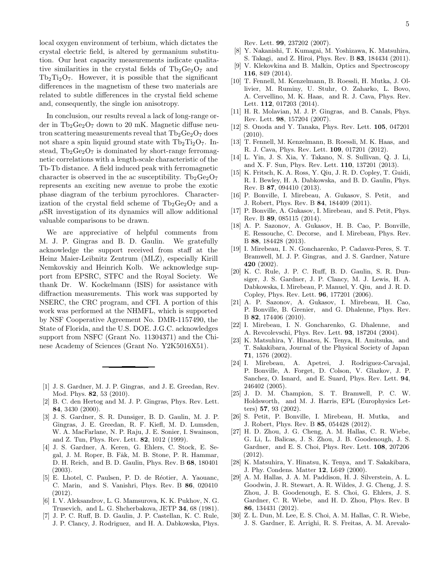local oxygen environment of terbium, which dictates the crystal electric field, is altered by germanium substitution. Our heat capacity measurements indicate qualitative similarities in the crystal fields of  $Tb_2Ge_2O_7$  and  $Tb_2Ti_2O_7$ . However, it is possible that the significant differences in the magnetism of these two materials are related to subtle differences in the crystal field scheme and, consequently, the single ion anisotropy.

In conclusion, our results reveal a lack of long-range order in  $Tb_2Ge_2O_7$  down to 20 mK. Magnetic diffuse neutron scattering measurements reveal that  $\text{Th}_2\text{Ge}_2\text{O}_7$  does not share a spin liquid ground state with  $Tb_2Ti_2O_7$ . Instead,  $Tb_2Ge_2O_7$  is dominated by short-range ferromagnetic correlations with a length-scale characteristic of the Tb-Tb distance. A field induced peak with ferromagnetic character is observed in the ac susceptibility.  $Tb_2Ge_2O_7$ represents an exciting new avenue to probe the exotic phase diagram of the terbium pyrochlores. Characterization of the crystal field scheme of  $Tb_2Ge_2O_7$  and a  $\mu$ SR investigation of its dynamics will allow additional valuable comparisons to be drawn.

We are appreciative of helpful comments from M. J. P. Gingras and B. D. Gaulin. We gratefully acknowledge the support received from staff at the Heinz Maier-Leibnitz Zentrum (MLZ), especially Kirill Nemkovskiy and Heinrich Kolb. We acknowledge support from EPSRC, STFC and the Royal Society. We thank Dr. W. Kockelmann (ISIS) for assistance with diffraction measurements. This work was supported by NSERC, the CRC program, and CFI. A portion of this work was performed at the NHMFL, which is supported by NSF Cooperative Agreement No. DMR-1157490, the State of Florida, and the U.S. DOE. J.G.C. acknowledges support from NSFC (Grant No. 11304371) and the Chinese Academy of Sciences (Grant No. Y2K5016X51).

- [1] J. S. Gardner, M. J. P. Gingras, and J. E. Greedan, Rev. Mod. Phys. 82, 53 (2010).
- [2] B. C. den Hertog and M. J. P. Gingras, Phys. Rev. Lett. 84, 3430 (2000).
- [3] J. S. Gardner, S. R. Dunsiger, B. D. Gaulin, M. J. P. Gingras, J. E. Greedan, R. F. Kiefl, M. D. Lumsden, W. A. MacFarlane, N. P. Raju, J. E. Sonier, I. Swainson, and Z. Tun, Phys. Rev. Lett. 82, 1012 (1999).
- [4] J. S. Gardner, A. Keren, G. Ehlers, C. Stock, E. Segal, J. M. Roper, B. Fåk, M. B. Stone, P. R. Hammar, D. H. Reich, and B. D. Gaulin, Phys. Rev. B 68, 180401 (2003).
- [5] E. Lhotel, C. Paulsen, P. D. de Réotier, A. Yaouanc, C. Marin, and S. Vanishri, Phys. Rev. B 86, 020410 (2012).
- [6] I. V. Aleksandrov, L. G. Mamsurova, K. K. Pukhov, N. G. Trusevich, and L. G. Shcherbakova, JETP 34, 68 (1981).
- [7] J. P. C. Ruff, B. D. Gaulin, J. P. Castellan, K. C. Rule, J. P. Clancy, J. Rodriguez, and H. A. Dabkowska, Phys.

Rev. Lett. 99, 237202 (2007).

- [8] Y. Nakanishi, T. Kumagai, M. Yoshizawa, K. Matsuhira, S. Takagi, and Z. Hiroi, Phys. Rev. B 83, 184434 (2011).
- [9] V. Klekovkina and B. Malkin, Optics and Spectroscopy 116, 849 (2014).
- [10] T. Fennell, M. Kenzelmann, B. Roessli, H. Mutka, J. Ollivier, M. Ruminy, U. Stuhr, O. Zaharko, L. Bovo, A. Cervellino, M. K. Haas, and R. J. Cava, Phys. Rev. Lett. 112, 017203 (2014).
- [11] H. R. Molavian, M. J. P. Gingras, and B. Canals, Phys. Rev. Lett. 98, 157204 (2007).
- [12] S. Onoda and Y. Tanaka, Phys. Rev. Lett. 105, 047201 (2010).
- [13] T. Fennell, M. Kenzelmann, B. Roessli, M. K. Haas, and R. J. Cava, Phys. Rev. Lett. 109, 017201 (2012).
- [14] L. Yin, J. S. Xia, Y. Takano, N. S. Sullivan, Q. J. Li, and X. F. Sun, Phys. Rev. Lett. 110, 137201 (2013).
- [15] K. Fritsch, K. A. Ross, Y. Qiu, J. R. D. Copley, T. Guidi, R. I. Bewley, H. A. Dabkowska, and B. D. Gaulin, Phys. Rev. B 87, 094410 (2013).
- [16] P. Bonville, I. Mirebeau, A. Gukasov, S. Petit, and J. Robert, Phys. Rev. B 84, 184409 (2011).
- [17] P. Bonville, A. Gukasov, I. Mirebeau, and S. Petit, Phys. Rev. B 89, 085115 (2014).
- [18] A. P. Sazonov, A. Gukasov, H. B. Cao, P. Bonville, E. Ressouche, C. Decorse, and I. Mirebeau, Phys. Rev. B 88, 184428 (2013).
- [19] I. Mirebeau, I. N. Goncharenko, P. Cadavez-Peres, S. T. Bramwell, M. J. P. Gingras, and J. S. Gardner, Nature 420 (2002).
- [20] K. C. Rule, J. P. C. Ruff, B. D. Gaulin, S. R. Dunsiger, J. S. Gardner, J. P. Clancy, M. J. Lewis, H. A. Dabkowska, I. Mirebeau, P. Manuel, Y. Qiu, and J. R. D. Copley, Phys. Rev. Lett. 96, 177201 (2006).
- [21] A. P. Sazonov, A. Gukasov, I. Mirebeau, H. Cao, P. Bonville, B. Grenier, and G. Dhalenne, Phys. Rev. B 82, 174406 (2010).
- [22] I. Mirebeau, I. N. Goncharenko, G. Dhalenne, and A. Revcolevschi, Phys. Rev. Lett. 93, 187204 (2004).
- [23] K. Matsuhira, Y. Hinatsu, K. Tenya, H. Amitsuka, and T. Sakakibara, Journal of the Physical Society of Japan 71, 1576 (2002).
- [24] I. Mirebeau, A. Apetrei, J. Rodriguez-Carvajal, P. Bonville, A. Forget, D. Colson, V. Glazkov, J. P. Sanchez, O. Isnard, and E. Suard, Phys. Rev. Lett. 94, 246402 (2005).
- [25] J. D. M. Champion, S. T. Bramwell, P. C. W. Holdsworth, and M. J. Harris, EPL (Europhysics Letters) 57, 93 (2002).
- [26] S. Petit, P. Bonville, I. Mirebeau, H. Mutka, and J. Robert, Phys. Rev. B 85, 054428 (2012).
- [27] H. D. Zhou, J. G. Cheng, A. M. Hallas, C. R. Wiebe, G. Li, L. Balicas, J. S. Zhou, J. B. Goodenough, J. S. Gardner, and E. S. Choi, Phys. Rev. Lett. 108, 207206 (2012).
- [28] K. Matsuhira, Y. Hinatsu, K. Tenya, and T. Sakakibara, J. Phy. Condens. Matter 12, L649 (2000).
- [29] A. M. Hallas, J. A. M. Paddison, H. J. Silverstein, A. L. Goodwin, J. R. Stewart, A. R. Wildes, J. G. Cheng, J. S. Zhou, J. B. Goodenough, E. S. Choi, G. Ehlers, J. S. Gardner, C. R. Wiebe, and H. D. Zhou, Phys. Rev. B 86, 134431 (2012).
- [30] Z. L. Dun, M. Lee, E. S. Choi, A. M. Hallas, C. R. Wiebe, J. S. Gardner, E. Arrighi, R. S. Freitas, A. M. Arevalo-